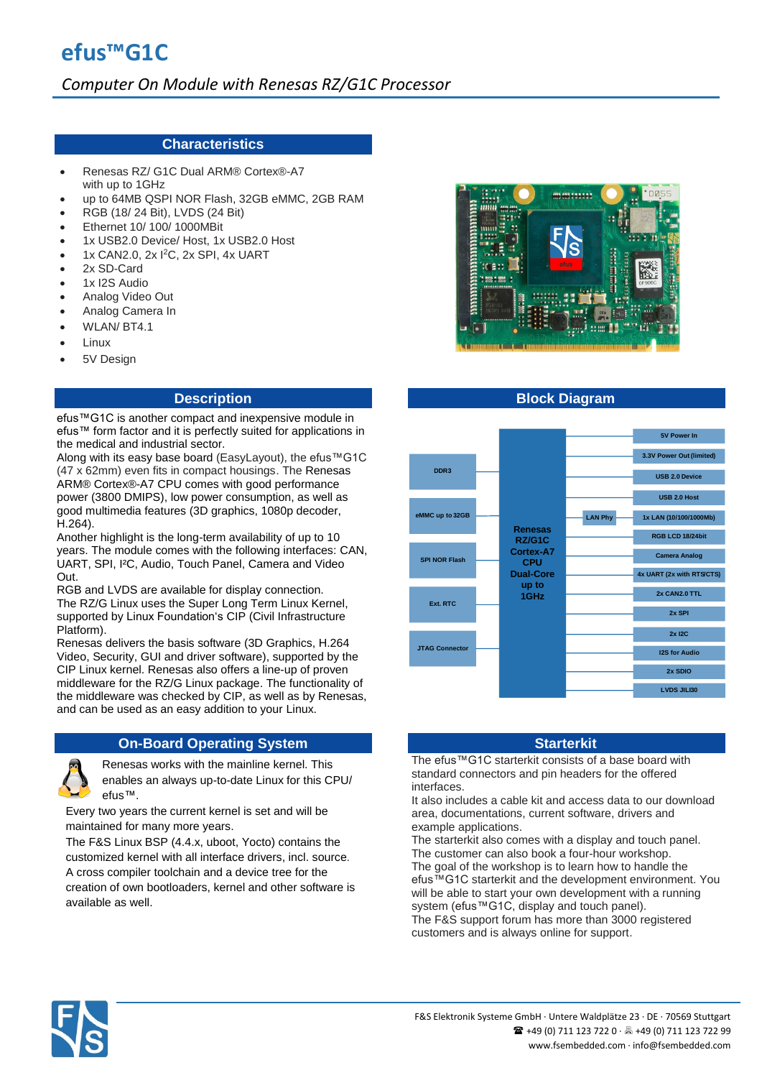## **Characteristics**

- Renesas RZ/ G1C Dual ARM® Cortex®-A7 with up to 1GHz
- up to 64MB QSPI NOR Flash, 32GB eMMC, 2GB RAM
- RGB (18/ 24 Bit), LVDS (24 Bit)
- Ethernet 10/ 100/ 1000MBit
- 1x USB2.0 Device/ Host, 1x USB2.0 Host
- 1x CAN2.0, 2x I<sup>2</sup>C, 2x SPI, 4x UART
- 2x SD-Card
- 1x I2S Audio
- Analog Video Out
- Analog Camera In
- WLAN/ BT4.1
- Linux
- 5V Design

### **Description**

efus™G1C is another compact and inexpensive module in efus™ form factor and it is perfectly suited for applications in the medical and industrial sector.

Along with its easy base board (EasyLayout), the efus™G1C (47 x 62mm) even fits in compact housings. The Renesas ARM® Cortex®-A7 CPU comes with good performance power (3800 DMIPS), low power consumption, as well as good multimedia features (3D graphics, 1080p decoder, H.264).

Another highlight is the long-term availability of up to 10 years. The module comes with the following interfaces: CAN, UART, SPI, I²C, Audio, Touch Panel, Camera and Video Out.

RGB and LVDS are available for display connection. The RZ/G Linux uses the Super Long Term Linux Kernel, supported by Linux Foundation's CIP (Civil Infrastructure Platform).

Renesas delivers the basis software (3D Graphics, H.264 Video, Security, GUI and driver software), supported by the CIP Linux kernel. Renesas also offers a line-up of proven middleware for the RZ/G Linux package. The functionality of the middleware was checked by CIP, as well as by Renesas, and can be used as an easy addition to your Linux.

# **On-Board Operating System <b>Starter All Accords** Starterkit



Renesas works with the mainline kernel. This enables an always up-to-date Linux for this CPU/ efus™.

Every two years the current kernel is set and will be maintained for many more years.

The F&S Linux BSP (4.4.x, uboot, Yocto) contains the customized kernel with all interface drivers, incl. source. A cross compiler toolchain and a device tree for the creation of own bootloaders, kernel and other software is available as well.



# **Block Diagram**



The efus™G1C starterkit consists of a base board with standard connectors and pin headers for the offered interfaces.

It also includes a cable kit and access data to our download area, documentations, current software, drivers and example applications.

The starterkit also comes with a display and touch panel. The customer can also book a four-hour workshop. The goal of the workshop is to learn how to handle the efus™G1C starterkit and the development environment. You will be able to start your own development with a running system (efus™G1C, display and touch panel). The F&S support forum has more than 3000 registered customers and is always online for support.